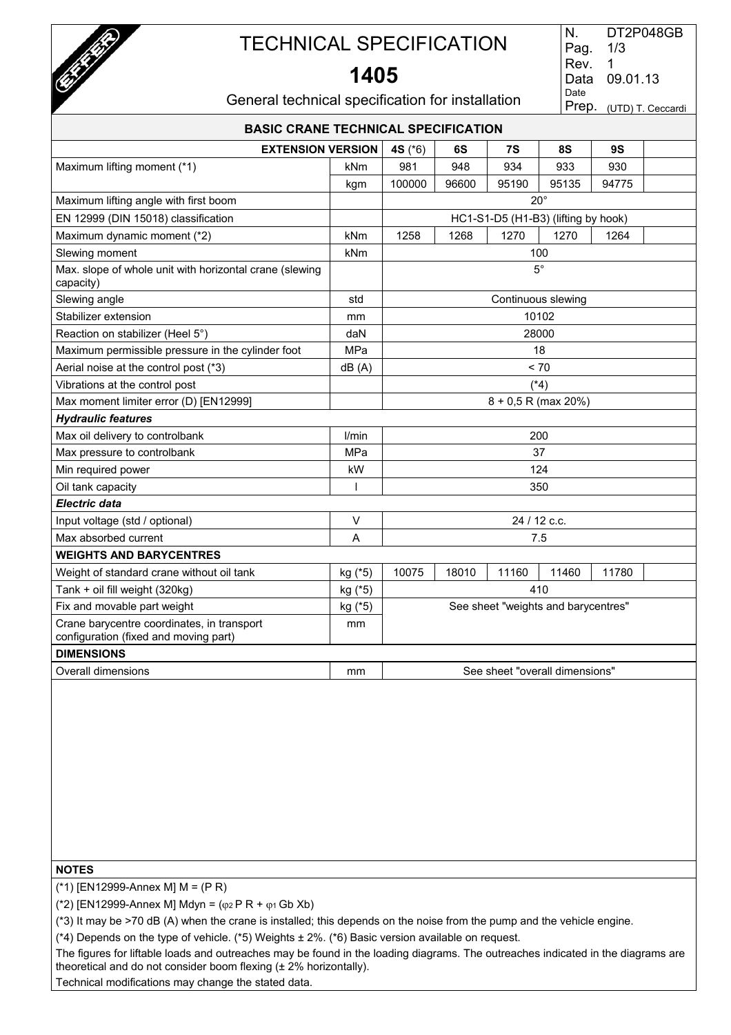

### **1405**

| DT2P048GB               |
|-------------------------|
| 1/3                     |
| 1                       |
| 09.01.13                |
|                         |
| Prep. (UTD) T. Ceccardi |
|                         |

General technical specification for installation

| <b>BASIC CRANE TECHNICAL SPECIFICATION</b>                                          |                                                               |           |       |                                     |                    |       |  |  |
|-------------------------------------------------------------------------------------|---------------------------------------------------------------|-----------|-------|-------------------------------------|--------------------|-------|--|--|
|                                                                                     | <b>EXTENSION VERSION</b><br>6S<br>8S<br>9S<br>4S $(*6)$<br>7S |           |       |                                     |                    |       |  |  |
| Maximum lifting moment (*1)                                                         | kNm                                                           | 981       | 948   | 934                                 | 933                | 930   |  |  |
|                                                                                     | kgm                                                           | 100000    | 96600 | 95190                               | 95135              | 94775 |  |  |
| Maximum lifting angle with first boom                                               |                                                               |           |       |                                     | $20^{\circ}$       |       |  |  |
| EN 12999 (DIN 15018) classification                                                 |                                                               |           |       | HC1-S1-D5 (H1-B3) (lifting by hook) |                    |       |  |  |
| Maximum dynamic moment (*2)                                                         | kNm                                                           | 1258      | 1268  | 1270                                | 1270               | 1264  |  |  |
| Slewing moment                                                                      | kNm                                                           |           |       |                                     | 100                |       |  |  |
| Max. slope of whole unit with horizontal crane (slewing<br>capacity)                |                                                               | $5^\circ$ |       |                                     |                    |       |  |  |
| Slewing angle                                                                       | std                                                           |           |       |                                     | Continuous slewing |       |  |  |
| Stabilizer extension                                                                | mm                                                            |           |       |                                     | 10102              |       |  |  |
| Reaction on stabilizer (Heel 5°)                                                    | daN                                                           |           |       |                                     | 28000              |       |  |  |
| Maximum permissible pressure in the cylinder foot                                   | MPa                                                           |           |       |                                     | 18                 |       |  |  |
| Aerial noise at the control post (*3)                                               | dB(A)                                                         |           |       |                                     | < 70               |       |  |  |
| Vibrations at the control post                                                      |                                                               | (*4)      |       |                                     |                    |       |  |  |
| Max moment limiter error (D) [EN12999]                                              |                                                               |           |       | $8 + 0.5$ R (max 20%)               |                    |       |  |  |
| <b>Hydraulic features</b>                                                           |                                                               |           |       |                                     |                    |       |  |  |
| Max oil delivery to controlbank                                                     | l/min                                                         |           |       |                                     | 200                |       |  |  |
| Max pressure to controlbank                                                         | MPa                                                           |           |       |                                     | 37                 |       |  |  |
| Min required power                                                                  | kW                                                            |           |       |                                     | 124                |       |  |  |
| Oil tank capacity                                                                   | $\overline{1}$                                                |           |       |                                     | 350                |       |  |  |
| <b>Electric data</b>                                                                |                                                               |           |       |                                     |                    |       |  |  |
| Input voltage (std / optional)                                                      | $\vee$                                                        |           |       | 24 / 12 c.c.                        |                    |       |  |  |
| Max absorbed current                                                                | A                                                             |           |       |                                     | 7.5                |       |  |  |
| <b>WEIGHTS AND BARYCENTRES</b>                                                      |                                                               |           |       |                                     |                    |       |  |  |
| Weight of standard crane without oil tank                                           | kg (*5)                                                       | 10075     | 18010 | 11160                               | 11460              | 11780 |  |  |
| Tank + oil fill weight (320kg)                                                      | kg (*5)                                                       |           |       |                                     | 410                |       |  |  |
| Fix and movable part weight                                                         | kg (*5)                                                       |           |       | See sheet "weights and barycentres" |                    |       |  |  |
| Crane barycentre coordinates, in transport<br>configuration (fixed and moving part) | mm                                                            |           |       |                                     |                    |       |  |  |
| <b>DIMENSIONS</b>                                                                   |                                                               |           |       |                                     |                    |       |  |  |
| Overall dimensions                                                                  | mm                                                            |           |       | See sheet "overall dimensions"      |                    |       |  |  |
|                                                                                     |                                                               |           |       |                                     |                    |       |  |  |

### **NOTES**

(\*1) [EN12999-Annex M] M = (P R)

(\*2) [EN12999-Annex M] Mdyn =  $(\varphi_2 P R + \varphi_1 Gb Xb)$ 

(\*3) It may be >70 dB (A) when the crane is installed; this depends on the noise from the pump and the vehicle engine.

(\*4) Depends on the type of vehicle. (\*5) Weights ± 2%. (\*6) Basic version available on request.

The figures for liftable loads and outreaches may be found in the loading diagrams. The outreaches indicated in the diagrams are theoretical and do not consider boom flexing (± 2% horizontally).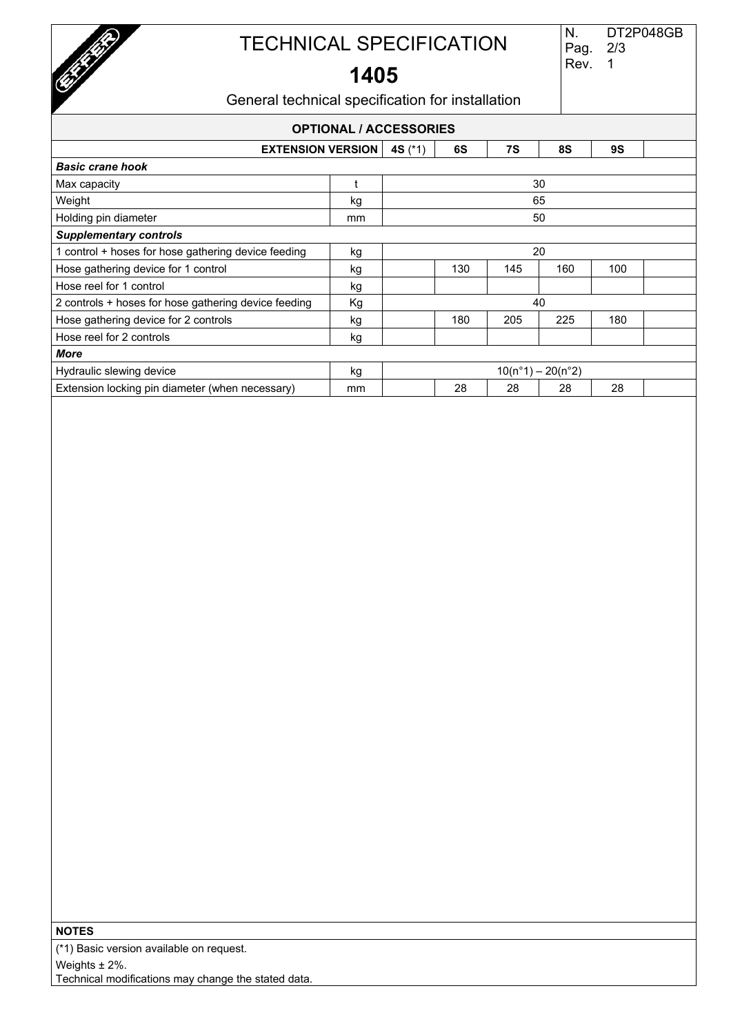

**1405** 

### General technical specification for installation

### **OPTIONAL / ACCESSORIES EXTENSION VERSION 4S** (\*1) **6S 7S 8S 9S**  *Basic crane hook*  $\blacksquare$  Max capacity  $\blacksquare$  30 Weight kg 65 Holding pin diameter and the set of the mm control of the set of the set of the set of the set of the set of the set of the set of the set of the set of the set of the set of the set of the set of the set of the set of the *Supplementary controls* 1 control + hoses for hose gathering device feeding  $\vert$  kg  $\vert$ Hose gathering device for 1 control kg 130 145 160 100 Hose reel for 1 control kg 2 controls + hoses for hose gathering device feeding  $Kg$  Kg  $40$ Hose gathering device for 2 controls kg 180 205 225 180 Hose reel for 2 controls and the set of the set of the set of the set of the set of the set of the set of the set of the set of the set of the set of the set of the set of the set of the set of the set of the set of the se *More* Hydraulic slewing device  $\left| \begin{array}{c} \text{kg} \\ \text{kg} \end{array} \right|$  kg  $10(n°1) - 20(n°2)$ Extension locking pin diameter (when necessary) mm | 28 28 28 28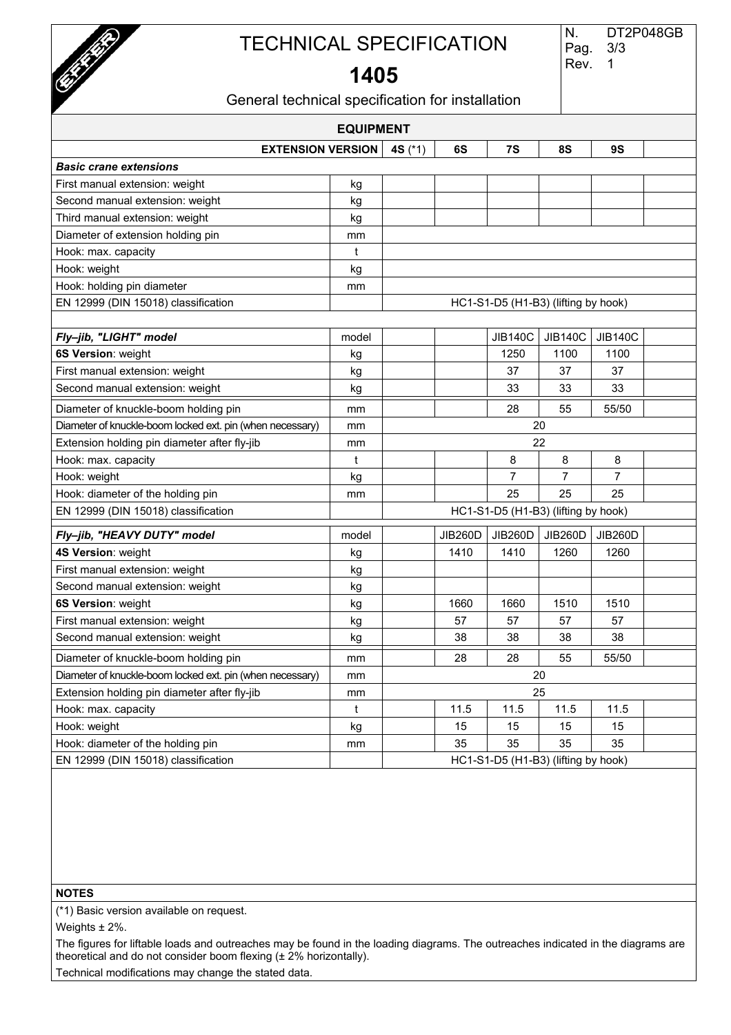

# **1405**

| General technical specification for installation |  |  |
|--------------------------------------------------|--|--|
|--------------------------------------------------|--|--|

| <b>EQUIPMENT</b>                                          |       |                                     |                |                                     |                |                |  |
|-----------------------------------------------------------|-------|-------------------------------------|----------------|-------------------------------------|----------------|----------------|--|
| <b>EXTENSION VERSION</b>                                  |       | 4S (*1)                             | 6S             | 7S                                  | <b>8S</b>      | <b>9S</b>      |  |
| <b>Basic crane extensions</b>                             |       |                                     |                |                                     |                |                |  |
| First manual extension: weight                            | kg    |                                     |                |                                     |                |                |  |
| Second manual extension: weight                           | kg    |                                     |                |                                     |                |                |  |
| Third manual extension: weight                            | kg    |                                     |                |                                     |                |                |  |
| Diameter of extension holding pin                         | mm    |                                     |                |                                     |                |                |  |
| Hook: max. capacity                                       | t     |                                     |                |                                     |                |                |  |
| Hook: weight                                              | kg    |                                     |                |                                     |                |                |  |
| Hook: holding pin diameter                                | mm    |                                     |                |                                     |                |                |  |
| EN 12999 (DIN 15018) classification                       |       |                                     |                | HC1-S1-D5 (H1-B3) (lifting by hook) |                |                |  |
|                                                           |       |                                     |                |                                     |                |                |  |
| Fly-jib, "LIGHT" model                                    | model |                                     |                | <b>JIB140C</b>                      | <b>JIB140C</b> | <b>JIB140C</b> |  |
| 6S Version: weight                                        | kg    |                                     |                | 1250                                | 1100           | 1100           |  |
| First manual extension: weight                            | kg    |                                     |                | 37                                  | 37             | 37             |  |
| Second manual extension: weight                           | kg    |                                     |                | 33                                  | 33             | 33             |  |
| Diameter of knuckle-boom holding pin                      | mm    |                                     |                | 28                                  | 55             | 55/50          |  |
| Diameter of knuckle-boom locked ext. pin (when necessary) | mm    |                                     |                | 20                                  |                |                |  |
| Extension holding pin diameter after fly-jib              | mm    |                                     |                | 22                                  |                |                |  |
| Hook: max. capacity                                       | t     |                                     |                | 8                                   | 8              | 8              |  |
| Hook: weight                                              | kg    |                                     |                | 7                                   | 7              | 7              |  |
| Hook: diameter of the holding pin                         | mm    |                                     |                | 25                                  | 25             | 25             |  |
| EN 12999 (DIN 15018) classification                       |       |                                     |                | HC1-S1-D5 (H1-B3) (lifting by hook) |                |                |  |
| Fly-jib, "HEAVY DUTY" model                               | model |                                     | <b>JIB260D</b> | JIB260D                             | <b>JIB260D</b> | JIB260D        |  |
| 4S Version: weight                                        | kg    |                                     | 1410           | 1410                                | 1260           | 1260           |  |
| First manual extension: weight                            | kg    |                                     |                |                                     |                |                |  |
| Second manual extension: weight                           | kg    |                                     |                |                                     |                |                |  |
| 6S Version: weight                                        | kg    |                                     | 1660           | 1660                                | 1510           | 1510           |  |
| First manual extension: weight                            | kg    |                                     | 57             | 57                                  | 57             | 57             |  |
| Second manual extension: weight                           | kg    |                                     | 38             | 38                                  | 38             | 38             |  |
| Diameter of knuckle-boom holding pin                      | mm    |                                     | 28             | 28                                  | 55             | 55/50          |  |
| Diameter of knuckle-boom locked ext. pin (when necessary) | mm    |                                     |                | 20                                  |                |                |  |
| Extension holding pin diameter after fly-jib              | mm    |                                     |                | 25                                  |                |                |  |
| Hook: max. capacity                                       | t     |                                     | 11.5           | 11.5                                | 11.5           | 11.5           |  |
| Hook: weight                                              | kg    |                                     | 15             | 15                                  | 15             | 15             |  |
| Hook: diameter of the holding pin                         | mm    |                                     | 35             | 35                                  | 35             | 35             |  |
| EN 12999 (DIN 15018) classification                       |       | HC1-S1-D5 (H1-B3) (lifting by hook) |                |                                     |                |                |  |

#### **NOTES**

(\*1) Basic version available on request.

Weights  $\pm$  2%.

The figures for liftable loads and outreaches may be found in the loading diagrams. The outreaches indicated in the diagrams are theoretical and do not consider boom flexing (± 2% horizontally).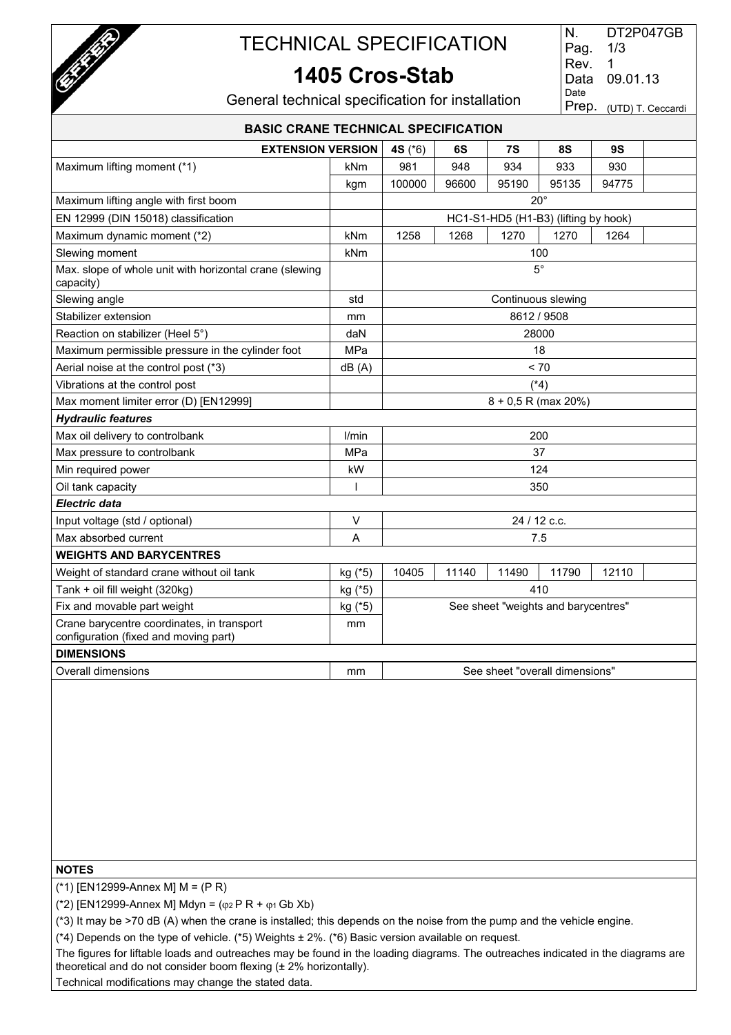

### **1405 Cros-Stab**

| N.   | DT2P047GB               |
|------|-------------------------|
| Pag. | 1/3                     |
| Rev. | 1                       |
| Data | 09.01.13                |
| Date |                         |
|      | Prep. (UTD) T. Ceccardi |
|      |                         |

General technical specification for installation

| <b>BASIC CRANE TECHNICAL SPECIFICATION</b>                                          |         |                                 |       |                                      |             |       |  |  |
|-------------------------------------------------------------------------------------|---------|---------------------------------|-------|--------------------------------------|-------------|-------|--|--|
| <b>EXTENSION VERSION</b>                                                            |         | 4S (*6)<br>7S<br>8S<br>9S<br>6S |       |                                      |             |       |  |  |
| Maximum lifting moment (*1)                                                         | kNm     | 981                             | 948   | 934                                  | 933         | 930   |  |  |
|                                                                                     | kgm     | 100000                          | 96600 | 95190                                | 95135       | 94775 |  |  |
| Maximum lifting angle with first boom                                               |         |                                 |       | $20^{\circ}$                         |             |       |  |  |
| EN 12999 (DIN 15018) classification                                                 |         |                                 |       | HC1-S1-HD5 (H1-B3) (lifting by hook) |             |       |  |  |
| Maximum dynamic moment (*2)                                                         | kNm     | 1258                            | 1268  | 1270                                 | 1270        | 1264  |  |  |
| Slewing moment                                                                      | kNm     |                                 |       |                                      | 100         |       |  |  |
| Max. slope of whole unit with horizontal crane (slewing<br>capacity)                |         |                                 |       |                                      | $5^{\circ}$ |       |  |  |
| Slewing angle                                                                       | std     |                                 |       | Continuous slewing                   |             |       |  |  |
| Stabilizer extension                                                                | mm      |                                 |       |                                      | 8612 / 9508 |       |  |  |
| Reaction on stabilizer (Heel 5°)                                                    | daN     |                                 |       | 28000                                |             |       |  |  |
| Maximum permissible pressure in the cylinder foot                                   | MPa     |                                 |       |                                      | 18          |       |  |  |
| Aerial noise at the control post (*3)                                               | dB(A)   |                                 |       |                                      | < 70        |       |  |  |
| Vibrations at the control post                                                      |         |                                 |       |                                      | $(*4)$      |       |  |  |
| Max moment limiter error (D) [EN12999]                                              |         |                                 |       | $8 + 0.5$ R (max 20%)                |             |       |  |  |
| <b>Hydraulic features</b>                                                           |         |                                 |       |                                      |             |       |  |  |
| Max oil delivery to controlbank                                                     | l/min   |                                 |       | 200                                  |             |       |  |  |
| Max pressure to controlbank                                                         | MPa     |                                 |       |                                      | 37          |       |  |  |
| Min required power                                                                  | kW      |                                 |       |                                      | 124         |       |  |  |
| Oil tank capacity                                                                   | T       |                                 |       |                                      | 350         |       |  |  |
| Electric data                                                                       |         |                                 |       |                                      |             |       |  |  |
| Input voltage (std / optional)                                                      | $\vee$  |                                 |       | 24 / 12 c.c.                         |             |       |  |  |
| Max absorbed current                                                                | A       |                                 |       |                                      | 7.5         |       |  |  |
| <b>WEIGHTS AND BARYCENTRES</b>                                                      |         |                                 |       |                                      |             |       |  |  |
| Weight of standard crane without oil tank                                           | kg (*5) | 10405                           | 11140 | 11490                                | 11790       | 12110 |  |  |
| Tank + oil fill weight (320kg)                                                      | kg (*5) |                                 |       |                                      | 410         |       |  |  |
| Fix and movable part weight                                                         | kg (*5) |                                 |       | See sheet "weights and barycentres"  |             |       |  |  |
| Crane barycentre coordinates, in transport<br>configuration (fixed and moving part) | mm      |                                 |       |                                      |             |       |  |  |
| <b>DIMENSIONS</b>                                                                   |         |                                 |       |                                      |             |       |  |  |
| <b>Overall dimensions</b>                                                           | mm      |                                 |       | See sheet "overall dimensions"       |             |       |  |  |
|                                                                                     |         |                                 |       |                                      |             |       |  |  |

### **NOTES**

(\*1) [EN12999-Annex M] M = (P R)

(\*2) [EN12999-Annex M] Mdyn =  $(\varphi_2 P R + \varphi_1 Gb Xb)$ 

(\*3) It may be >70 dB (A) when the crane is installed; this depends on the noise from the pump and the vehicle engine.

(\*4) Depends on the type of vehicle. (\*5) Weights ± 2%. (\*6) Basic version available on request.

The figures for liftable loads and outreaches may be found in the loading diagrams. The outreaches indicated in the diagrams are theoretical and do not consider boom flexing (± 2% horizontally).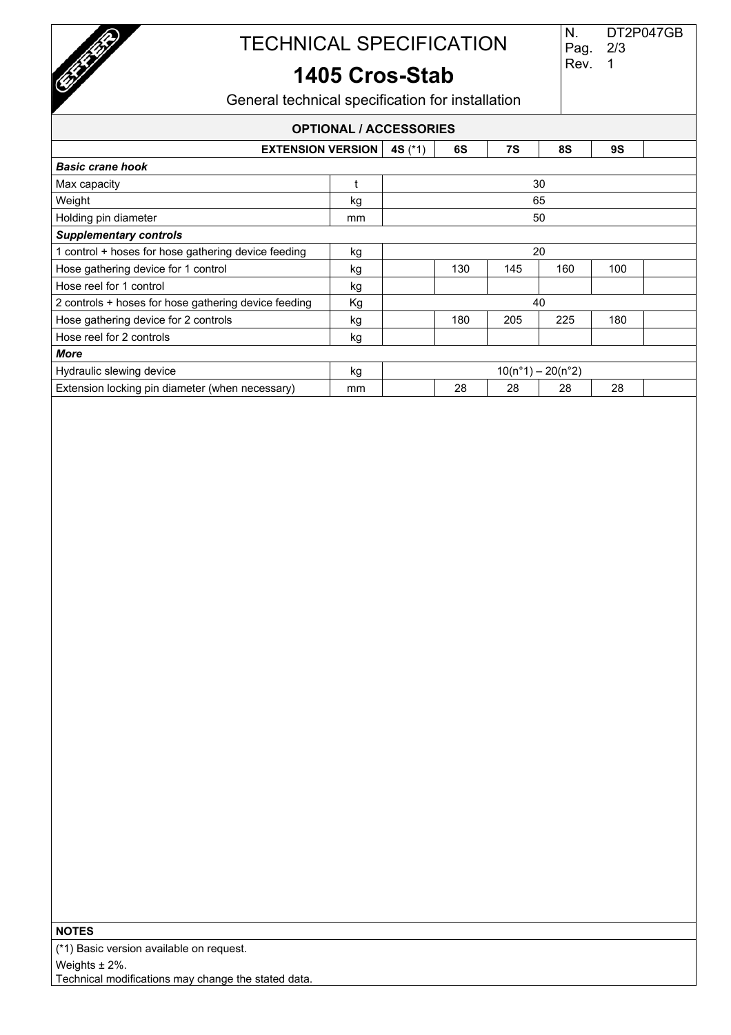

1

Rev.

### **1405 Cros-Stab**

General technical specification for installation

### **OPTIONAL / ACCESSORIES**

| <b>EXTENSION VERSION</b>                             |    | 4S $(^{*}1)$        | 6S  | 7S  | 8S  | <b>9S</b> |  |
|------------------------------------------------------|----|---------------------|-----|-----|-----|-----------|--|
| <b>Basic crane hook</b>                              |    |                     |     |     |     |           |  |
| Max capacity                                         |    |                     |     |     | 30  |           |  |
| Weight                                               | kg | 65                  |     |     |     |           |  |
| Holding pin diameter                                 | mm | 50                  |     |     |     |           |  |
| <b>Supplementary controls</b>                        |    |                     |     |     |     |           |  |
| 1 control + hoses for hose gathering device feeding  | kg | 20                  |     |     |     |           |  |
| Hose gathering device for 1 control                  | kg |                     | 130 | 145 | 160 | 100       |  |
| Hose reel for 1 control                              | kg |                     |     |     |     |           |  |
| 2 controls + hoses for hose gathering device feeding | Кg | 40                  |     |     |     |           |  |
| Hose gathering device for 2 controls                 | kg |                     | 180 | 205 | 225 | 180       |  |
| Hose reel for 2 controls                             | kg |                     |     |     |     |           |  |
| More                                                 |    |                     |     |     |     |           |  |
| Hydraulic slewing device                             | kg | $10(n°1) - 20(n°2)$ |     |     |     |           |  |
| Extension locking pin diameter (when necessary)      | mm |                     | 28  | 28  | 28  | 28        |  |